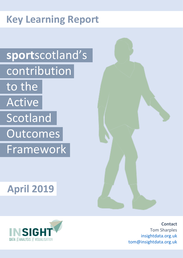# **Key Learning Report**

# **sport**scotland's contribution to the Active **Scotland Outcomes** Framework

# **April 2019**





**Contact** Tom Sharples [insightdata.org.uk](https://www.insightdata.org.uk/) [tom@insightdata.org.uk](mailto:tom@insightdata.org.uk)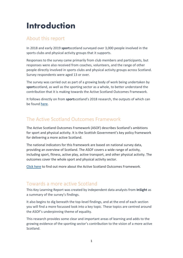## <span id="page-1-0"></span>**Introduction**

### About this report

In 2018 and early 2019 **sport**scotland surveyed over 3,000 people involved in the sports clubs and physical activity groups that it supports.

Responses to the survey came primarily from club members and participants, but responses were also received from coaches, volunteers, and the range of other people directly involved in sports clubs and physical activity groups across Scotland. Survey respondents were aged 13 or over.

The survey was carried out as part of a growing body of work being undertaken by **sport**scotland, as well as the sporting sector as a whole, to better understand the contribution that it is making towards the Active Scotland Outcomes Framework.

It follows directly on from **sport**scotland's 2018 research, the outputs of which can be found [here.](https://sportscotland.org.uk/about-us/our-publications/archive/asof-contribution/)

### The Active Scotland Outcomes Framework

The Active Scotland Outcomes Framework (ASOF) describes Scotland's ambitions for sport and physical activity. It is the Scottish Government's key policy framework for delivering a more active Scotland.

The national indicators for this framework are based on national survey data, providing an overview of Scotland. The ASOF covers a wide range of activity, including sport, fitness, active play, active transport, and other physical activity. The outcomes cover the whole sport and physical activity sector.

[Click here](http://www.gov.scot/About/Performance/scotPerforms/partnerstories/Outcomes-Framework) to find out more about the Active Scotland Outcomes Framework.

### Towards a more active Scotland

This Key Learning Report was created by independent data analysts from **InSight** as a summary of the survey's findings.

It also begins to dig beneath the top-level findings, and at the end of each section you will find a more focussed look into a key topic. These topics are centred around the ASOF's underpinning theme of equality.

This research provides some clear and important areas of learning and adds to the growing evidence of the sporting sector's contribution to the vision of a more active Scotland.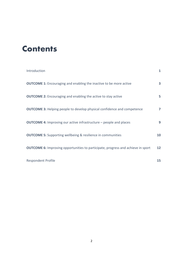## **Contents**

| Introduction                                                                            | $\mathbf{1}$ |
|-----------------------------------------------------------------------------------------|--------------|
| <b>OUTCOME 1:</b> Encouraging and enabling the inactive to be more active               | 3            |
| <b>OUTCOME 2:</b> Encouraging and enabling the active to stay active                    | 5            |
| <b>OUTCOME 3:</b> Helping people to develop physical confidence and competence          | 7            |
| <b>OUTCOME 4:</b> Improving our active infrastructure - people and places               | 9            |
| <b>OUTCOME 5:</b> Supporting wellbeing & resilience in communities                      | 10           |
| <b>OUTCOME 6:</b> Improving opportunities to participate, progress and achieve in sport | 12           |
| Respondent Profile                                                                      | 15           |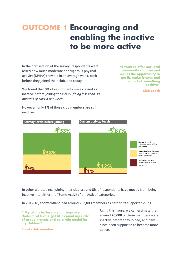## <span id="page-3-0"></span>**OUTCOME 1 Encouraging and enabling the inactive to be more active**

In the first section of the survey, respondents were asked how much moderate and vigorous physical activity (MVPA) they did in an average week, both before they joined their club, and today.

We found that **9%** of respondents were classed as inactive before joining their club (*doing less than 30 minutes of MVPA per week*).

**"I want to offer our local community children and adults the opportunity to get fit, make friends and be part of something positive"** 

**Club coach**





In other words, since joining their club around **8%** of respondents have moved from being inactive into either the "Some Activity*"* or "Active*"* categories.

In 2017-18, **sport**scotland had around 282,000 members as part of its supported clubs.

**"[My aim is to] lose weight, improve cholesterol levels, get fit, expand my circle of acquaintances and be a role model for my children"** 

**Sports club member**

Using this figure, we can estimate that around **20,000** of these members were inactive before they joined, and have since been supported to become more active.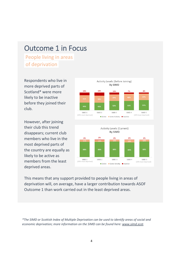## Outcome 1 in Focus

People living in areas. of deprivation

Respondents who live in more deprived parts of Scotland\* were more likely to be inactive before they joined their club.

However, after joining their club this trend disappears; current club members who live in the most deprived parts of the country are equally as likely to be active as members from the least deprived areas.





This means that any support provided to people living in areas of deprivation will, on average, have a larger contribution towards ASOF Outcome 1 than work carried out in the least deprived areas.

*\*The SIMD or Scottish Index of Multiple Deprivation can be used to identify areas of social and economic deprivation; more information on the SIMD can be found here[: www.simd.scot.](http://www.simd.scot/)*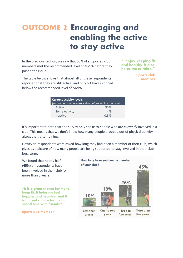## <span id="page-5-0"></span>**OUTCOME 2 Encouraging and enabling the active to stay active**

In the previous section, we saw that 53% of supported club members met the recommended level of MVPA before they joined their club.

**"I enjoy keeping fit and healthy, it also helps me to relax."** 

The table below shows that almost all of these respondents reported that they are still active, and only 5% have dropped below the recommended level of MVPA.

**Sports club member**

| <b>Current activity levels</b>                          |      |
|---------------------------------------------------------|------|
| (respondents who were active before joining their club) |      |
| Active                                                  | 95%  |
| <b>Some Activity</b>                                    | 4%   |
| <b>Inactive</b>                                         | 0.5% |

It's important to note that the survey only spoke to people who are *currently* involved in a club. This means that we don't know how many people dropped out of physical activity altogether, after joining.

However, respondents were asked how long they had been a member of their club, which gives us a picture of how many people are being supported to stay involved in their club long-term.

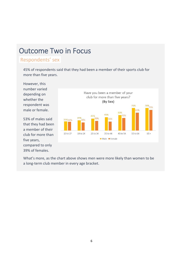## Outcome Two in Focus

### Respondents' sex

45% of respondents said that they had been a member of their sports club for more than five years.

However, this number varied depending on whether the respondent was male or female.

53% of males said that they had been a member of their club for more than five years, compared to only 39% of females.



What's more, as the chart above shows men were more likely than women to be a long-term club member in every age bracket.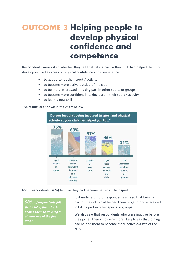## <span id="page-7-0"></span>**OUTCOME 3 Helping people to develop physical confidence and competence**

Respondents were asked whether they felt that taking part in their club had helped them to develop in five key areas of physical confidence and competence:

- to get better at their sport / activity
- to become more active outside of the club
- to be more interested in taking part in other sports or groups
- to become more confident in taking part in their sport / activity
- to learn a new skill

The results are shown in the chart below.



Most respondents (**76%**) felt like they had become better at their sport.

*98% of respondents felt that joining their club had helped them to develop in at least one of the five areas.*

Just under a third of respondents agreed that being a part of their club had helped them to get more interested in taking part in other sports or groups.

We also saw that respondents who were inactive before they joined their club were more likely to say that joining had helped them to become more active *outside* of the club.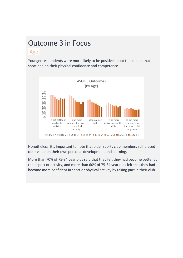## Outcome 3 in Focus

### **.**Age.

Younger respondents were more likely to be positive about the impact that sport had on their physical confidence and competence.



Nonetheless, it's important to note that older sports club members still placed clear value on their own personal development and learning.

More than 70% of 75-84 year olds said that they felt they had become better at their sport or activity, and more than 60% of 75-84 year olds felt that they had become more confident in sport or physical activity by taking part in their club.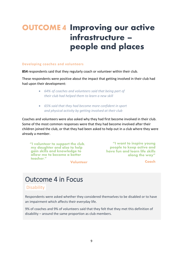## <span id="page-9-0"></span>**OUTCOME 4 Improving our active infrastructure – people and places**

#### **Developing coaches and volunteers**

**854** respondents said that they regularly coach or volunteer within their club.

These respondents were positive about the impact that getting involved in their club had had upon their development:

- *64% of coaches and volunteers said that being part of their club had helped them to learn a new skill*
- *65% said that they had become more confident in sport and physical activity by getting involved at their club*

Coaches and volunteers were also asked why they had first become involved in their club. Some of the most common responses were that they had become involved after their children joined the club, or that they had been asked to help out in a club where they were already a member.

**"I volunteer to support the club, my daughter and also to help gain skills and knowledge to allow me to become a better teacher." Volunteer**

**"I want to inspire young people to keep active and have fun and learn life skills along the way"**

**Coach**

## Outcome 4 in Focus

### .Disability.

Respondents were asked whether they considered themselves to be disabled or to have an impairment which affects their everyday life.

9% of coaches and 9% of volunteers said that they felt that they met this definition of disability – around the same proportion as club members.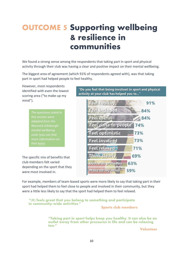## <span id="page-10-0"></span>**OUTCOME 5 Supporting wellbeing & resilience in communities**

We found a strong sense among the respondents that taking part in sport and physical activity through their club was having a clear and positive impact on their mental wellbeing.

The biggest area of agreement (which 91% of respondents agreed with), was that taking part in sport had helped people to feel healthy.

However, most respondents identified with even the lowest scoring area ("to make up my mind").

> *The questions asked in this section were adapted from the mental wellbeing that [here\)](https://warwick.ac.uk/fac/sci/med/research/platform/wemwbs).*

The specific mix of benefits that club members felt varied depending on the sport that they were most involved in.

"Do you feel that being involved in sport and physical activity at your club has helped you to..."



For example, members of team-based sports were more likely to say that taking part in their sport had helped them to feel close to people and involved in their community, but they were a little less likely to say that the sport had helped them to feel relaxed.

**"[It] feels great that you belong to something and participate in community-wide activities."** 

**Sports club members**

**"Taking part in sport helps keep you healthy. It can also be an outlet away from other pressures in life and can be relaxing too."** 

**Volunteer**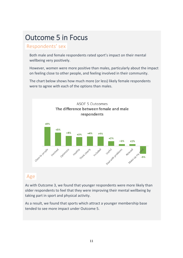## Outcome 5 in Focus

### Respondents' sex

Both male and female respondents rated sport's impact on their mental wellbeing very positively.

However, women were more positive than males, particularly about the impact on feeling close to other people, and feeling involved in their community.

The chart below shows how much more (or less) likely female respondents were to agree with each of the options than males.



### .Age.

As with Outcome 3, we found that younger respondents were more likely than older respondents to feel that they were improving their mental wellbeing by taking part in sport and physical activity.

As a result, we found that sports which attract a younger membership base tended to see more impact under Outcome 5.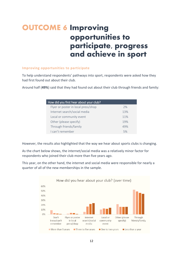## <span id="page-12-0"></span>**OUTCOME 6 Improving opportunities to participate, progress and achieve in sport**

#### **Improving opportunities to participate**

To help understand respondents' pathways into sport, respondents were asked how they had first found out about their club.

Around half (**49%**) said that they had found out about their club through friends and family:

| How did you first hear about your club? |     |
|-----------------------------------------|-----|
| Flyer or poster in local press/shop     | 2%  |
| Internet search/social media            | 13% |
| Local or community event                | 11% |
| Other (please specify)                  | 19% |
| Through friends/family                  | 49% |
| Lcan't remember                         | 5%  |

However, the results also highlighted that the way we hear about sports clubs is changing.

As the chart below shows, the internet/social media was a relatively minor factor for respondents who joined their club more than five years ago.

This year, on the other hand, the internet and social media were responsible for nearly a quarter of all of the new memberships in the sample.

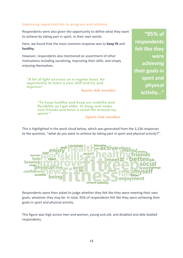#### **Improving opportunities to progress and achieve**

Respondents were also given the opportunity to define what they want to achieve by taking part in sport, in their own words.

Here, we found that the most common response was to **keep fit** and **healthy.** 

However, respondents also mentioned an assortment of other motivations including socialising, improving their skills, and simply enjoying themselves.

**"A bit of light exercise on a regular basis. An opportunity to learn a new skill and try and improve"**

**Sports club member**

**"To keep healthy and keep my mobility and flexibility as I get older. To keep and make new friends and have a social life around my sports."**

**Sports club member**

This is highlighted in the word cloud below, which was generated from the 3,136 responses to the question, "*what do you want to achieve by taking part in sport and physical activity*?".



Respondents were then asked to judge whether they felt like they were meeting their own goals, whatever they may be. In total, 95% of respondents felt like they were achieving their goals in sport and physical activity.

This figure was high across men and women, young and old, and disabled and able-bodied respondents.

**"95% of respondents felt like they were achieving their goals in sport and physical activity…"**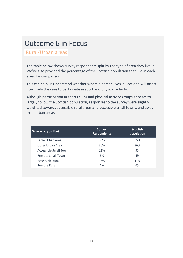## Outcome 6 in Focus

### .Rural/Urban areas.

The table below shows survey respondents split by the type of area they live in. We've also provided the percentage of the Scottish population that live in each area, for comparison.

This can help us understand whether where a person lives in Scotland will affect how likely they are to participate in sport and physical activity.

Although participation in sports clubs and physical activity groups appears to largely follow the Scottish population, responses to the survey were slightly weighted towards accessible rural areas and accessible small towns, and away from urban areas.

| Where do you live?       | <b>Survey</b><br><b>Respondents</b> | <b>Scottish</b><br>population |
|--------------------------|-------------------------------------|-------------------------------|
| Large Urban Area         | 30%                                 | 35%                           |
| Other Urban Area         | 30%                                 | 36%                           |
| Accessible Small Town    | 11%                                 | 9%                            |
| <b>Remote Small Town</b> | 6%                                  | 4%                            |
| Accessible Rural         | 16%                                 | 11%                           |
| Remote Rural             | 7%                                  | 6%                            |
|                          |                                     |                               |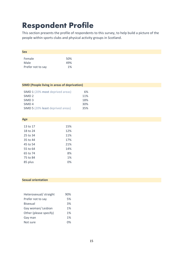## <span id="page-15-0"></span>**Respondent Profile**

This section presents the profile of respondents to this survey, to help build a picture of the people within sports clubs and physical activity groups in Scotland.

| Female<br>50%<br>Male<br>49%<br>1%<br>Prefer not to say | <b>Sex</b> |  |  |
|---------------------------------------------------------|------------|--|--|
|                                                         |            |  |  |
|                                                         |            |  |  |
|                                                         |            |  |  |

| <b>SIMD (People living in areas of deprivation)</b> |  |  |  |
|-----------------------------------------------------|--|--|--|
|-----------------------------------------------------|--|--|--|

| SIMD 1 (20% most deprived areas)  | 6%  |
|-----------------------------------|-----|
| SIMD <sub>2</sub>                 | 11% |
| SIMD <sub>3</sub>                 | 18% |
| SIMD <sub>4</sub>                 | 30% |
| SIMD 5 (20% least deprived areas) | 35% |

| Age      |     |
|----------|-----|
|          |     |
| 13 to 17 | 15% |
| 18 to 24 | 12% |
| 25 to 34 | 11% |
| 35 to 44 | 17% |
| 45 to 54 | 21% |
| 55 to 64 | 14% |
| 65 to 74 | 8%  |
| 75 to 84 | 1%  |
| 85 plus  | ℅   |

#### **Sexual orientation**

| Heterosexual/ straight | 90% |
|------------------------|-----|
| Prefer not to say      | 5%  |
| <b>Bisexual</b>        | 3%  |
| Gay woman/Lesbian      | 1%  |
| Other (please specify) | 1%  |
| Gay man                | 1%  |
| Not sure               | በ%  |